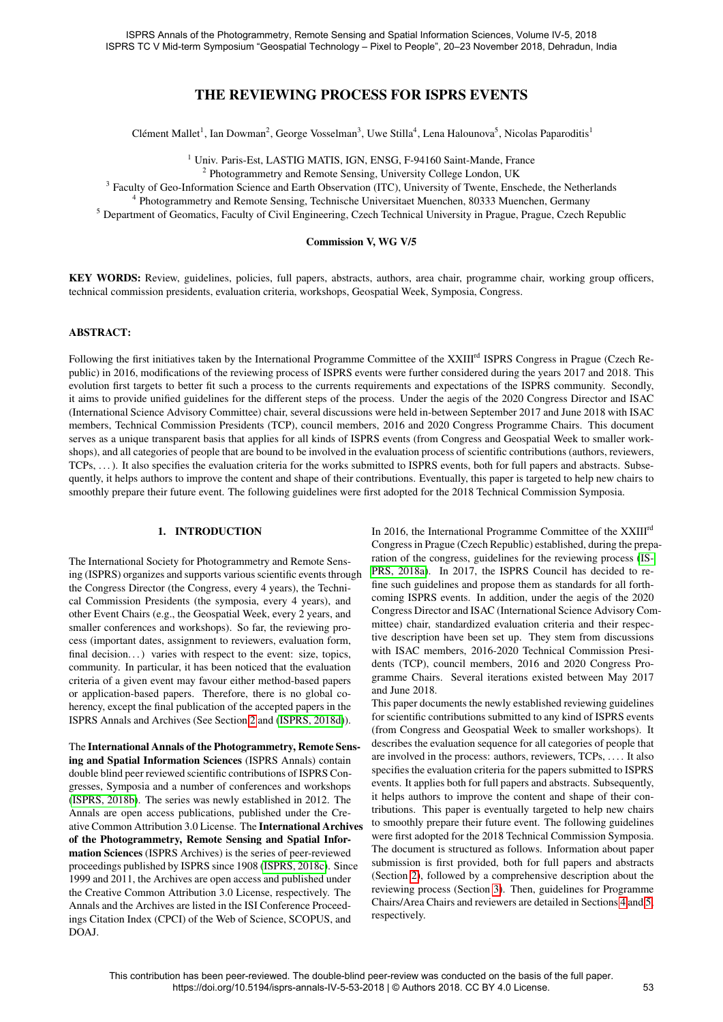# THE REVIEWING PROCESS FOR ISPRS EVENTS

Clément Mallet<sup>1</sup>, Ian Dowman<sup>2</sup>, George Vosselman<sup>3</sup>, Uwe Stilla<sup>4</sup>, Lena Halounova<sup>5</sup>, Nicolas Paparoditis<sup>1</sup>

<sup>1</sup> Univ. Paris-Est, LASTIG MATIS, IGN, ENSG, F-94160 Saint-Mande, France

<sup>2</sup> Photogrammetry and Remote Sensing, University College London, UK

<sup>3</sup> Faculty of Geo-Information Science and Earth Observation (ITC), University of Twente, Enschede, the Netherlands

<sup>4</sup> Photogrammetry and Remote Sensing, Technische Universitaet Muenchen, 80333 Muenchen, Germany

<sup>5</sup> Department of Geomatics, Faculty of Civil Engineering, Czech Technical University in Prague, Prague, Czech Republic

#### Commission V, WG V/5

KEY WORDS: Review, guidelines, policies, full papers, abstracts, authors, area chair, programme chair, working group officers, technical commission presidents, evaluation criteria, workshops, Geospatial Week, Symposia, Congress.

#### ABSTRACT:

Following the first initiatives taken by the International Programme Committee of the XXIII<sup>rd</sup> ISPRS Congress in Prague (Czech Republic) in 2016, modifications of the reviewing process of ISPRS events were further considered during the years 2017 and 2018. This evolution first targets to better fit such a process to the currents requirements and expectations of the ISPRS community. Secondly, it aims to provide unified guidelines for the different steps of the process. Under the aegis of the 2020 Congress Director and ISAC (International Science Advisory Committee) chair, several discussions were held in-between September 2017 and June 2018 with ISAC members, Technical Commission Presidents (TCP), council members, 2016 and 2020 Congress Programme Chairs. This document serves as a unique transparent basis that applies for all kinds of ISPRS events (from Congress and Geospatial Week to smaller workshops), and all categories of people that are bound to be involved in the evaluation process of scientific contributions (authors, reviewers, TCPs, ...). It also specifies the evaluation criteria for the works submitted to ISPRS events, both for full papers and abstracts. Subsequently, it helps authors to improve the content and shape of their contributions. Eventually, this paper is targeted to help new chairs to smoothly prepare their future event. The following guidelines were first adopted for the 2018 Technical Commission Symposia.

#### 1. INTRODUCTION

The International Society for Photogrammetry and Remote Sensing (ISPRS) organizes and supports various scientific events through the Congress Director (the Congress, every 4 years), the Technical Commission Presidents (the symposia, every 4 years), and other Event Chairs (e.g., the Geospatial Week, every 2 years, and smaller conferences and workshops). So far, the reviewing process (important dates, assignment to reviewers, evaluation form, final decision...) varies with respect to the event: size, topics, community. In particular, it has been noticed that the evaluation criteria of a given event may favour either method-based papers or application-based papers. Therefore, there is no global coherency, except the final publication of the accepted papers in the ISPRS Annals and Archives (See Section [2](#page-1-0) and [\(ISPRS, 2018d\)](#page-5-0)).

The International Annals of the Photogrammetry, Remote Sensing and Spatial Information Sciences (ISPRS Annals) contain double blind peer reviewed scientific contributions of ISPRS Congresses, Symposia and a number of conferences and workshops [\(ISPRS, 2018b\)](#page-5-1). The series was newly established in 2012. The Annals are open access publications, published under the Creative Common Attribution 3.0 License. The International Archives of the Photogrammetry, Remote Sensing and Spatial Information Sciences (ISPRS Archives) is the series of peer-reviewed proceedings published by ISPRS since 1908 [\(ISPRS, 2018c\)](#page-5-2). Since 1999 and 2011, the Archives are open access and published under the Creative Common Attribution 3.0 License, respectively. The Annals and the Archives are listed in the ISI Conference Proceedings Citation Index (CPCI) of the Web of Science, SCOPUS, and DOAJ.

In 2016, the International Programme Committee of the XXIII<sup>rd</sup> Congress in Prague (Czech Republic) established, during the preparation of the congress, guidelines for the reviewing process [\(IS-](#page-5-3)[PRS, 2018a\)](#page-5-3). In 2017, the ISPRS Council has decided to refine such guidelines and propose them as standards for all forthcoming ISPRS events. In addition, under the aegis of the 2020 Congress Director and ISAC (International Science Advisory Committee) chair, standardized evaluation criteria and their respective description have been set up. They stem from discussions with ISAC members, 2016-2020 Technical Commission Presidents (TCP), council members, 2016 and 2020 Congress Programme Chairs. Several iterations existed between May 2017 and June 2018.

This paper documents the newly established reviewing guidelines for scientific contributions submitted to any kind of ISPRS events (from Congress and Geospatial Week to smaller workshops). It describes the evaluation sequence for all categories of people that are involved in the process: authors, reviewers, TCPs, . . . . It also specifies the evaluation criteria for the papers submitted to ISPRS events. It applies both for full papers and abstracts. Subsequently, it helps authors to improve the content and shape of their contributions. This paper is eventually targeted to help new chairs to smoothly prepare their future event. The following guidelines were first adopted for the 2018 Technical Commission Symposia. The document is structured as follows. Information about paper submission is first provided, both for full papers and abstracts (Section [2\)](#page-1-0), followed by a comprehensive description about the reviewing process (Section [3\)](#page-2-0). Then, guidelines for Programme Chairs/Area Chairs and reviewers are detailed in Sections [4](#page-3-0) and [5,](#page-4-0) respectively.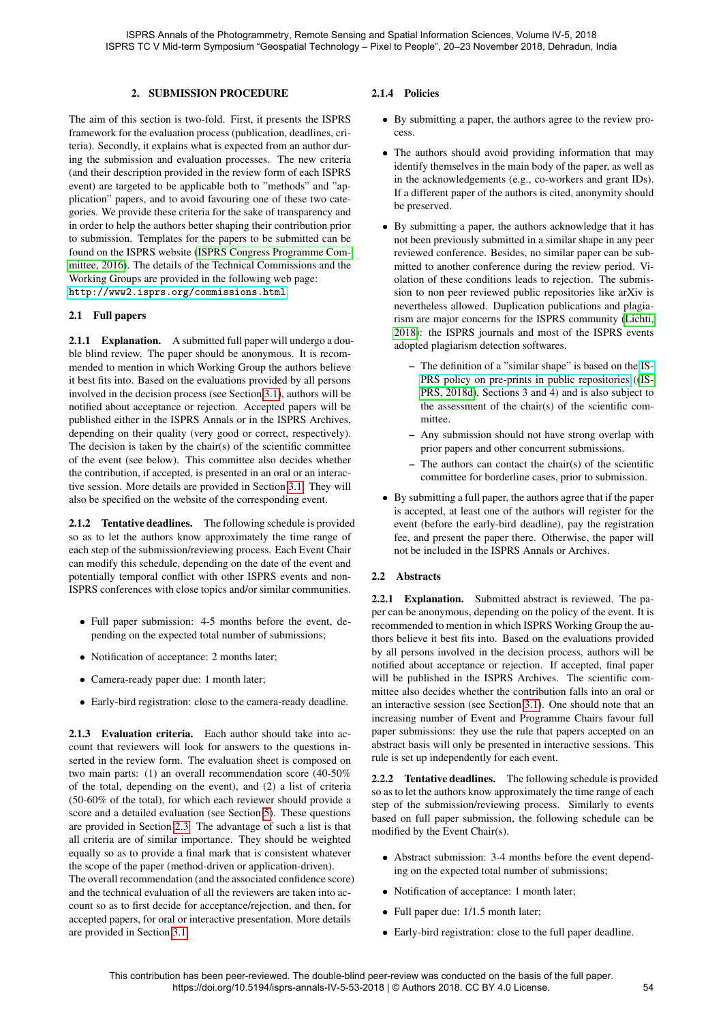### 2. SUBMISSION PROCEDURE

<span id="page-1-0"></span>The aim of this section is two-fold. First, it presents the ISPRS framework for the evaluation process (publication, deadlines, criteria). Secondly, it explains what is expected from an author during the submission and evaluation processes. The new criteria (and their description provided in the review form of each ISPRS event) are targeted to be applicable both to "methods" and "application" papers, and to avoid favouring one of these two categories. We provide these criteria for the sake of transparency and in order to help the authors better shaping their contribution prior to submission. Templates for the papers to be submitted can be found on the ISPRS website [\(ISPRS Congress Programme Com](#page-5-4)[mittee, 2016\)](#page-5-4). The details of the Technical Commissions and the Working Groups are provided in the following web page: <http://www2.isprs.org/commissions.html>.

#### 2.1 Full papers

2.1.1 Explanation. A submitted full paper will undergo a double blind review. The paper should be anonymous. It is recommended to mention in which Working Group the authors believe it best fits into. Based on the evaluations provided by all persons involved in the decision process (see Section [3.1\)](#page-2-1), authors will be notified about acceptance or rejection. Accepted papers will be published either in the ISPRS Annals or in the ISPRS Archives, depending on their quality (very good or correct, respectively). The decision is taken by the chair(s) of the scientific committee of the event (see below). This committee also decides whether the contribution, if accepted, is presented in an oral or an interactive session. More details are provided in Section [3.1.](#page-2-1) They will also be specified on the website of the corresponding event.

2.1.2 Tentative deadlines. The following schedule is provided so as to let the authors know approximately the time range of each step of the submission/reviewing process. Each Event Chair can modify this schedule, depending on the date of the event and potentially temporal conflict with other ISPRS events and non-ISPRS conferences with close topics and/or similar communities.

- Full paper submission: 4-5 months before the event, depending on the expected total number of submissions;
- Notification of acceptance: 2 months later;
- Camera-ready paper due: 1 month later;
- Early-bird registration: close to the camera-ready deadline.

2.1.3 Evaluation criteria. Each author should take into account that reviewers will look for answers to the questions inserted in the review form. The evaluation sheet is composed on two main parts: (1) an overall recommendation score (40-50% of the total, depending on the event), and (2) a list of criteria (50-60% of the total), for which each reviewer should provide a score and a detailed evaluation (see Section [5\)](#page-4-0). These questions are provided in Section [2.3.](#page-2-2) The advantage of such a list is that all criteria are of similar importance. They should be weighted equally so as to provide a final mark that is consistent whatever the scope of the paper (method-driven or application-driven).

The overall recommendation (and the associated confidence score) and the technical evaluation of all the reviewers are taken into account so as to first decide for acceptance/rejection, and then, for accepted papers, for oral or interactive presentation. More details are provided in Section [3.1.](#page-2-1)

# 2.1.4 Policies

- By submitting a paper, the authors agree to the review process.
- The authors should avoid providing information that may identify themselves in the main body of the paper, as well as in the acknowledgements (e.g., co-workers and grant IDs). If a different paper of the authors is cited, anonymity should be preserved.
- By submitting a paper, the authors acknowledge that it has not been previously submitted in a similar shape in any peer reviewed conference. Besides, no similar paper can be submitted to another conference during the review period. Violation of these conditions leads to rejection. The submission to non peer reviewed public repositories like arXiv is nevertheless allowed. Duplication publications and plagiarism are major concerns for the ISPRS community [\(Lichti,](#page-5-5) [2018\)](#page-5-5): the ISPRS journals and most of the ISPRS events adopted plagiarism detection softwares.
	- The definition of a "similar shape" is based on the [IS-](http://www.isprs.org/documents/orangebook/app4.aspx)[PRS policy on pre-prints in public repositories](http://www.isprs.org/documents/orangebook/app4.aspx) ([\(IS-](#page-5-0)[PRS, 2018d\)](#page-5-0), Sections 3 and 4) and is also subject to the assessment of the chair(s) of the scientific committee.
	- Any submission should not have strong overlap with prior papers and other concurrent submissions.
	- The authors can contact the chair(s) of the scientific committee for borderline cases, prior to submission.
- By submitting a full paper, the authors agree that if the paper is accepted, at least one of the authors will register for the event (before the early-bird deadline), pay the registration fee, and present the paper there. Otherwise, the paper will not be included in the ISPRS Annals or Archives.

#### 2.2 Abstracts

2.2.1 Explanation. Submitted abstract is reviewed. The paper can be anonymous, depending on the policy of the event. It is recommended to mention in which ISPRS Working Group the authors believe it best fits into. Based on the evaluations provided by all persons involved in the decision process, authors will be notified about acceptance or rejection. If accepted, final paper will be published in the ISPRS Archives. The scientific committee also decides whether the contribution falls into an oral or an interactive session (see Section [3.1\)](#page-2-1). One should note that an increasing number of Event and Programme Chairs favour full paper submissions: they use the rule that papers accepted on an abstract basis will only be presented in interactive sessions. This rule is set up independently for each event.

2.2.2 Tentative deadlines. The following schedule is provided so as to let the authors know approximately the time range of each step of the submission/reviewing process. Similarly to events based on full paper submission, the following schedule can be modified by the Event Chair(s).

- Abstract submission: 3-4 months before the event depending on the expected total number of submissions;
- Notification of acceptance: 1 month later;
- Full paper due:  $1/1.5$  month later;
- Early-bird registration: close to the full paper deadline.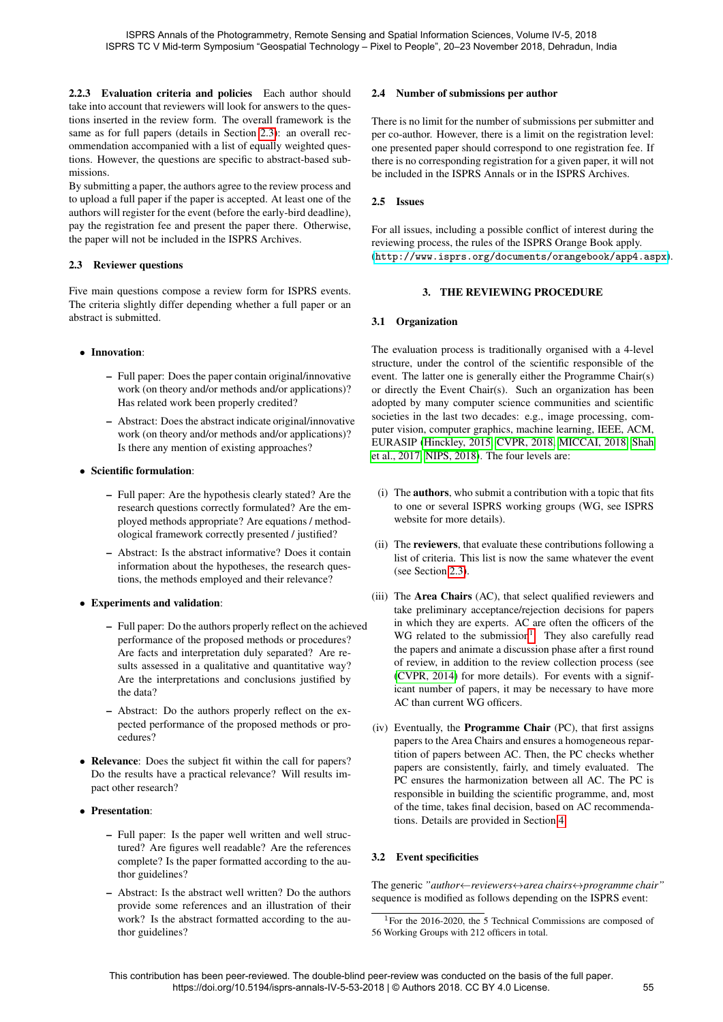2.2.3 Evaluation criteria and policies Each author should take into account that reviewers will look for answers to the questions inserted in the review form. The overall framework is the same as for full papers (details in Section [2.3\)](#page-2-2): an overall recommendation accompanied with a list of equally weighted questions. However, the questions are specific to abstract-based submissions.

By submitting a paper, the authors agree to the review process and to upload a full paper if the paper is accepted. At least one of the authors will register for the event (before the early-bird deadline), pay the registration fee and present the paper there. Otherwise, the paper will not be included in the ISPRS Archives.

# <span id="page-2-2"></span>2.3 Reviewer questions

Five main questions compose a review form for ISPRS events. The criteria slightly differ depending whether a full paper or an abstract is submitted.

# • Innovation:

- Full paper: Does the paper contain original/innovative work (on theory and/or methods and/or applications)? Has related work been properly credited?
- Abstract: Does the abstract indicate original/innovative work (on theory and/or methods and/or applications)? Is there any mention of existing approaches?

# • Scientific formulation:

- Full paper: Are the hypothesis clearly stated? Are the research questions correctly formulated? Are the employed methods appropriate? Are equations / methodological framework correctly presented / justified?
- Abstract: Is the abstract informative? Does it contain information about the hypotheses, the research questions, the methods employed and their relevance?
- Experiments and validation:
	- Full paper: Do the authors properly reflect on the achieved performance of the proposed methods or procedures? Are facts and interpretation duly separated? Are results assessed in a qualitative and quantitative way? Are the interpretations and conclusions justified by the data?
	- Abstract: Do the authors properly reflect on the expected performance of the proposed methods or procedures?
- Relevance: Does the subject fit within the call for papers? Do the results have a practical relevance? Will results impact other research?
- Presentation:
	- Full paper: Is the paper well written and well structured? Are figures well readable? Are the references complete? Is the paper formatted according to the author guidelines?
	- Abstract: Is the abstract well written? Do the authors provide some references and an illustration of their work? Is the abstract formatted according to the author guidelines?

# 2.4 Number of submissions per author

There is no limit for the number of submissions per submitter and per co-author. However, there is a limit on the registration level: one presented paper should correspond to one registration fee. If there is no corresponding registration for a given paper, it will not be included in the ISPRS Annals or in the ISPRS Archives.

# 2.5 Issues

For all issues, including a possible conflict of interest during the reviewing process, the rules of the ISPRS Orange Book apply. (<http://www.isprs.org/documents/orangebook/app4.aspx>).

# 3. THE REVIEWING PROCEDURE

# <span id="page-2-1"></span><span id="page-2-0"></span>3.1 Organization

The evaluation process is traditionally organised with a 4-level structure, under the control of the scientific responsible of the event. The latter one is generally either the Programme Chair(s) or directly the Event Chair(s). Such an organization has been adopted by many computer science communities and scientific societies in the last two decades: e.g., image processing, computer vision, computer graphics, machine learning, IEEE, ACM, EURASIP [\(Hinckley, 2015,](#page-5-6) [CVPR, 2018,](#page-5-7) [MICCAI, 2018,](#page-5-8) [Shah](#page-5-9) [et al., 2017,](#page-5-9) [NIPS, 2018\)](#page-5-10). The four levels are:

- (i) The authors, who submit a contribution with a topic that fits to one or several ISPRS working groups (WG, see ISPRS website for more details).
- (ii) The reviewers, that evaluate these contributions following a list of criteria. This list is now the same whatever the event (see Section [2.3\)](#page-2-2).
- (iii) The Area Chairs (AC), that select qualified reviewers and take preliminary acceptance/rejection decisions for papers in which they are experts. AC are often the officers of the WG related to the submission<sup>[1](#page-2-3)</sup>. They also carefully read the papers and animate a discussion phase after a first round of review, in addition to the review collection process (see [\(CVPR, 2014\)](#page-5-11) for more details). For events with a significant number of papers, it may be necessary to have more AC than current WG officers.
- (iv) Eventually, the Programme Chair (PC), that first assigns papers to the Area Chairs and ensures a homogeneous repartition of papers between AC. Then, the PC checks whether papers are consistently, fairly, and timely evaluated. The PC ensures the harmonization between all AC. The PC is responsible in building the scientific programme, and, most of the time, takes final decision, based on AC recommendations. Details are provided in Section [4.](#page-3-0)

# <span id="page-2-4"></span>3.2 Event specificities

The generic *"author*←*reviewers*↔*area chairs*↔*programme chair"* sequence is modified as follows depending on the ISPRS event:

<span id="page-2-3"></span> $1$ For the 2016-2020, the 5 Technical Commissions are composed of 56 Working Groups with 212 officers in total.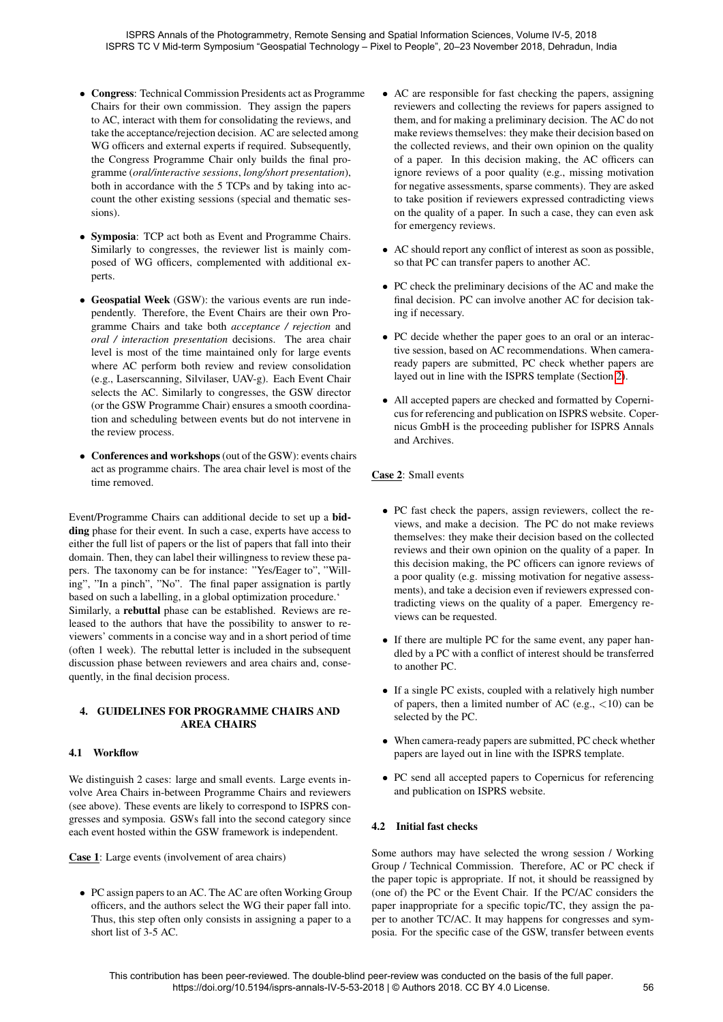- Congress: Technical Commission Presidents act as Programme Chairs for their own commission. They assign the papers to AC, interact with them for consolidating the reviews, and take the acceptance/rejection decision. AC are selected among WG officers and external experts if required. Subsequently, the Congress Programme Chair only builds the final programme (*oral/interactive sessions*, *long/short presentation*), both in accordance with the 5 TCPs and by taking into account the other existing sessions (special and thematic sessions).
- Symposia: TCP act both as Event and Programme Chairs. Similarly to congresses, the reviewer list is mainly composed of WG officers, complemented with additional experts.
- Geospatial Week (GSW): the various events are run independently. Therefore, the Event Chairs are their own Programme Chairs and take both *acceptance / rejection* and *oral / interaction presentation* decisions. The area chair level is most of the time maintained only for large events where AC perform both review and review consolidation (e.g., Laserscanning, Silvilaser, UAV-g). Each Event Chair selects the AC. Similarly to congresses, the GSW director (or the GSW Programme Chair) ensures a smooth coordination and scheduling between events but do not intervene in the review process.
- Conferences and workshops(out of the GSW): events chairs act as programme chairs. The area chair level is most of the time removed.

Event/Programme Chairs can additional decide to set up a bidding phase for their event. In such a case, experts have access to either the full list of papers or the list of papers that fall into their domain. Then, they can label their willingness to review these papers. The taxonomy can be for instance: "Yes/Eager to", "Willing", "In a pinch", "No". The final paper assignation is partly based on such a labelling, in a global optimization procedure.' Similarly, a rebuttal phase can be established. Reviews are released to the authors that have the possibility to answer to reviewers' comments in a concise way and in a short period of time (often 1 week). The rebuttal letter is included in the subsequent discussion phase between reviewers and area chairs and, consequently, in the final decision process.

# <span id="page-3-0"></span>4. GUIDELINES FOR PROGRAMME CHAIRS AND AREA CHAIRS

### 4.1 Workflow

We distinguish 2 cases: large and small events. Large events involve Area Chairs in-between Programme Chairs and reviewers (see above). These events are likely to correspond to ISPRS congresses and symposia. GSWs fall into the second category since each event hosted within the GSW framework is independent.

Case 1: Large events (involvement of area chairs)

• PC assign papers to an AC. The AC are often Working Group officers, and the authors select the WG their paper fall into. Thus, this step often only consists in assigning a paper to a short list of 3-5 AC.

- AC are responsible for fast checking the papers, assigning reviewers and collecting the reviews for papers assigned to them, and for making a preliminary decision. The AC do not make reviews themselves: they make their decision based on the collected reviews, and their own opinion on the quality of a paper. In this decision making, the AC officers can ignore reviews of a poor quality (e.g., missing motivation for negative assessments, sparse comments). They are asked to take position if reviewers expressed contradicting views on the quality of a paper. In such a case, they can even ask for emergency reviews.
- AC should report any conflict of interest as soon as possible, so that PC can transfer papers to another AC.
- PC check the preliminary decisions of the AC and make the final decision. PC can involve another AC for decision taking if necessary.
- PC decide whether the paper goes to an oral or an interactive session, based on AC recommendations. When cameraready papers are submitted, PC check whether papers are layed out in line with the ISPRS template (Section [2\)](#page-1-0).
- All accepted papers are checked and formatted by Copernicus for referencing and publication on ISPRS website. Copernicus GmbH is the proceeding publisher for ISPRS Annals and Archives.

# Case 2: Small events

- PC fast check the papers, assign reviewers, collect the reviews, and make a decision. The PC do not make reviews themselves: they make their decision based on the collected reviews and their own opinion on the quality of a paper. In this decision making, the PC officers can ignore reviews of a poor quality (e.g. missing motivation for negative assessments), and take a decision even if reviewers expressed contradicting views on the quality of a paper. Emergency reviews can be requested.
- If there are multiple PC for the same event, any paper handled by a PC with a conflict of interest should be transferred to another PC.
- If a single PC exists, coupled with a relatively high number of papers, then a limited number of AC (e.g.,  $\langle 10 \rangle$ ) can be selected by the PC.
- When camera-ready papers are submitted, PC check whether papers are layed out in line with the ISPRS template.
- PC send all accepted papers to Copernicus for referencing and publication on ISPRS website.

# 4.2 Initial fast checks

Some authors may have selected the wrong session / Working Group / Technical Commission. Therefore, AC or PC check if the paper topic is appropriate. If not, it should be reassigned by (one of) the PC or the Event Chair. If the PC/AC considers the paper inappropriate for a specific topic/TC, they assign the paper to another TC/AC. It may happens for congresses and symposia. For the specific case of the GSW, transfer between events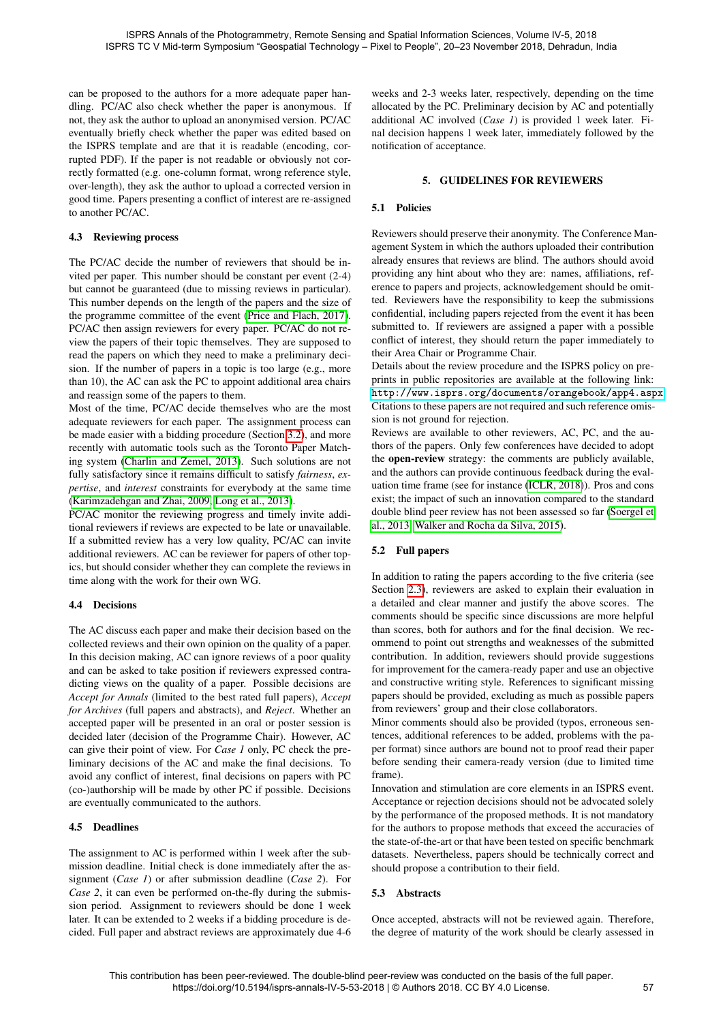can be proposed to the authors for a more adequate paper handling. PC/AC also check whether the paper is anonymous. If not, they ask the author to upload an anonymised version. PC/AC eventually briefly check whether the paper was edited based on the ISPRS template and are that it is readable (encoding, corrupted PDF). If the paper is not readable or obviously not correctly formatted (e.g. one-column format, wrong reference style, over-length), they ask the author to upload a corrected version in good time. Papers presenting a conflict of interest are re-assigned to another PC/AC.

### 4.3 Reviewing process

The PC/AC decide the number of reviewers that should be invited per paper. This number should be constant per event (2-4) but cannot be guaranteed (due to missing reviews in particular). This number depends on the length of the papers and the size of the programme committee of the event [\(Price and Flach, 2017\)](#page-5-12). PC/AC then assign reviewers for every paper. PC/AC do not review the papers of their topic themselves. They are supposed to read the papers on which they need to make a preliminary decision. If the number of papers in a topic is too large (e.g., more than 10), the AC can ask the PC to appoint additional area chairs and reassign some of the papers to them.

Most of the time, PC/AC decide themselves who are the most adequate reviewers for each paper. The assignment process can be made easier with a bidding procedure (Section [3.2\)](#page-2-4), and more recently with automatic tools such as the Toronto Paper Matching system [\(Charlin and Zemel, 2013\)](#page-5-13). Such solutions are not fully satisfactory since it remains difficult to satisfy *fairness*, *expertise*, and *interest* constraints for everybody at the same time [\(Karimzadehgan and Zhai, 2009,](#page-5-14) [Long et al., 2013\)](#page-5-15).

PC/AC monitor the reviewing progress and timely invite additional reviewers if reviews are expected to be late or unavailable. If a submitted review has a very low quality, PC/AC can invite additional reviewers. AC can be reviewer for papers of other topics, but should consider whether they can complete the reviews in time along with the work for their own WG.

### 4.4 Decisions

The AC discuss each paper and make their decision based on the collected reviews and their own opinion on the quality of a paper. In this decision making, AC can ignore reviews of a poor quality and can be asked to take position if reviewers expressed contradicting views on the quality of a paper. Possible decisions are *Accept for Annals* (limited to the best rated full papers), *Accept for Archives* (full papers and abstracts), and *Reject*. Whether an accepted paper will be presented in an oral or poster session is decided later (decision of the Programme Chair). However, AC can give their point of view. For *Case 1* only, PC check the preliminary decisions of the AC and make the final decisions. To avoid any conflict of interest, final decisions on papers with PC (co-)authorship will be made by other PC if possible. Decisions are eventually communicated to the authors.

### 4.5 Deadlines

The assignment to AC is performed within 1 week after the submission deadline. Initial check is done immediately after the assignment (*Case 1*) or after submission deadline (*Case 2*). For *Case 2*, it can even be performed on-the-fly during the submission period. Assignment to reviewers should be done 1 week later. It can be extended to 2 weeks if a bidding procedure is decided. Full paper and abstract reviews are approximately due 4-6

weeks and 2-3 weeks later, respectively, depending on the time allocated by the PC. Preliminary decision by AC and potentially additional AC involved (*Case 1*) is provided 1 week later. Final decision happens 1 week later, immediately followed by the notification of acceptance.

## 5. GUIDELINES FOR REVIEWERS

# <span id="page-4-0"></span>5.1 Policies

Reviewers should preserve their anonymity. The Conference Management System in which the authors uploaded their contribution already ensures that reviews are blind. The authors should avoid providing any hint about who they are: names, affiliations, reference to papers and projects, acknowledgement should be omitted. Reviewers have the responsibility to keep the submissions confidential, including papers rejected from the event it has been submitted to. If reviewers are assigned a paper with a possible conflict of interest, they should return the paper immediately to their Area Chair or Programme Chair.

Details about the review procedure and the ISPRS policy on preprints in public repositories are available at the following link: <http://www.isprs.org/documents/orangebook/app4.aspx>. Citations to these papers are not required and such reference omission is not ground for rejection.

Reviews are available to other reviewers, AC, PC, and the authors of the papers. Only few conferences have decided to adopt the open-review strategy: the comments are publicly available, and the authors can provide continuous feedback during the evaluation time frame (see for instance [\(ICLR, 2018\)](#page-5-16)). Pros and cons exist; the impact of such an innovation compared to the standard double blind peer review has not been assessed so far [\(Soergel et](#page-5-17) [al., 2013,](#page-5-17) [Walker and Rocha da Silva, 2015\)](#page-5-18).

# 5.2 Full papers

In addition to rating the papers according to the five criteria (see Section [2.3\)](#page-2-2), reviewers are asked to explain their evaluation in a detailed and clear manner and justify the above scores. The comments should be specific since discussions are more helpful than scores, both for authors and for the final decision. We recommend to point out strengths and weaknesses of the submitted contribution. In addition, reviewers should provide suggestions for improvement for the camera-ready paper and use an objective and constructive writing style. References to significant missing papers should be provided, excluding as much as possible papers from reviewers' group and their close collaborators.

Minor comments should also be provided (typos, erroneous sentences, additional references to be added, problems with the paper format) since authors are bound not to proof read their paper before sending their camera-ready version (due to limited time frame).

Innovation and stimulation are core elements in an ISPRS event. Acceptance or rejection decisions should not be advocated solely by the performance of the proposed methods. It is not mandatory for the authors to propose methods that exceed the accuracies of the state-of-the-art or that have been tested on specific benchmark datasets. Nevertheless, papers should be technically correct and should propose a contribution to their field.

### 5.3 Abstracts

Once accepted, abstracts will not be reviewed again. Therefore, the degree of maturity of the work should be clearly assessed in